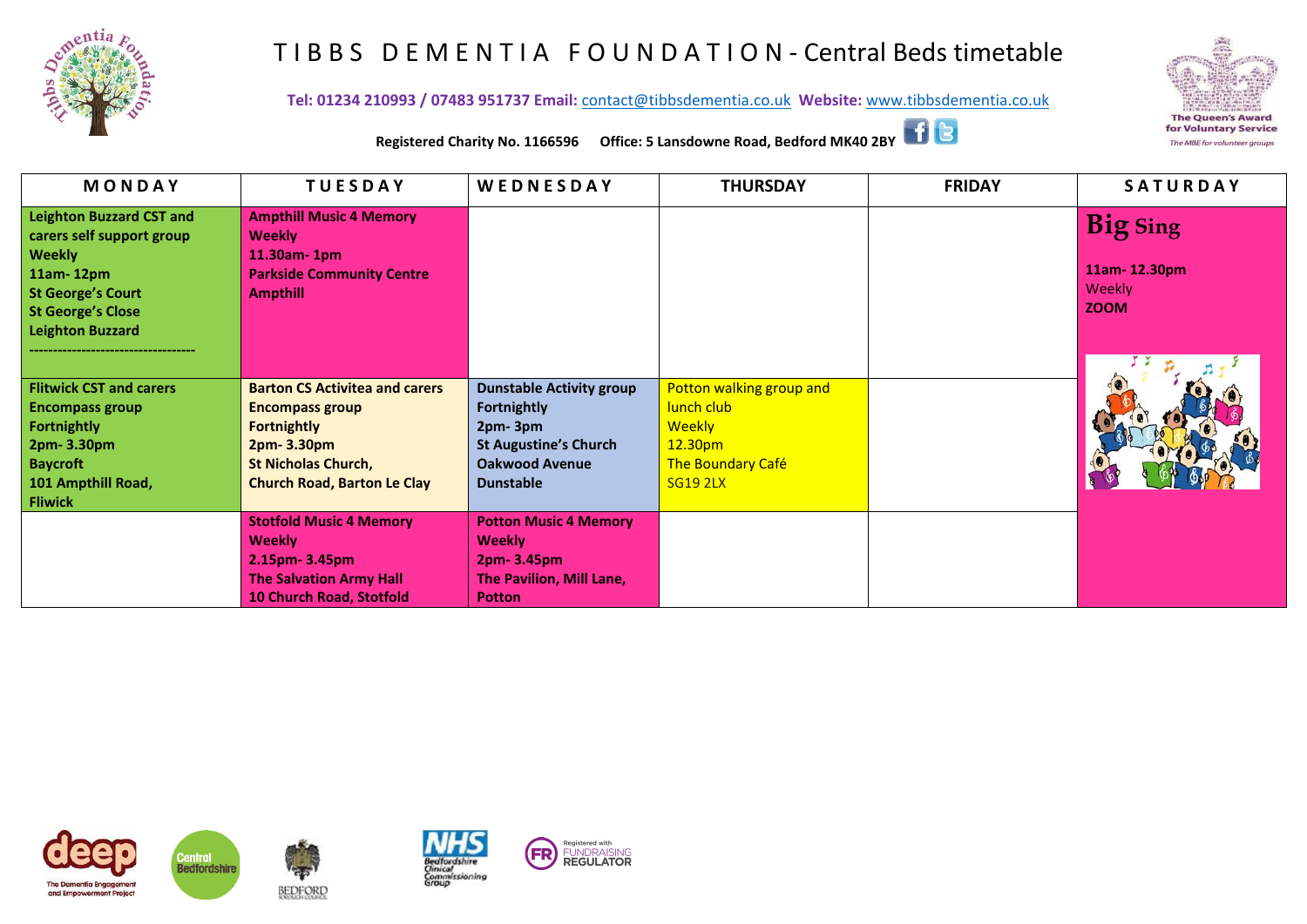

## T I B B S D E M E N T I A F O U N D A T I O N - Central Beds timetable

**Tel: 01234 210993 / 07483 951737 Email:** [contact@tibbsdementia.co.uk](mailto:contact@tibbsdementia.co.uk) **Website:** [www.tibbsdementia.co.uk](http://www.tibbsdementia.co.uk/)



**Registered Charity No. 1166596 Office: 5 Lansdowne Road, Bedford MK40 2BY**

| MONDAY                          | <b>TUESDAY</b>                        | WEDNESDAY                       | <b>THURSDAY</b>          | <b>FRIDAY</b> | SATURDAY        |
|---------------------------------|---------------------------------------|---------------------------------|--------------------------|---------------|-----------------|
| <b>Leighton Buzzard CST and</b> | <b>Ampthill Music 4 Memory</b>        |                                 |                          |               | <b>Big Sing</b> |
| carers self support group       | <b>Weekly</b>                         |                                 |                          |               |                 |
| <b>Weekly</b>                   | 11.30am- 1pm                          |                                 |                          |               |                 |
| $11am-12pm$                     | <b>Parkside Community Centre</b>      |                                 |                          |               | 11am-12.30pm    |
| <b>St George's Court</b>        | <b>Ampthill</b>                       |                                 |                          |               | Weekly          |
| <b>St George's Close</b>        |                                       |                                 |                          |               | <b>ZOOM</b>     |
| <b>Leighton Buzzard</b>         |                                       |                                 |                          |               |                 |
|                                 |                                       |                                 |                          |               |                 |
|                                 |                                       |                                 |                          |               |                 |
| <b>Flitwick CST and carers</b>  | <b>Barton CS Activitea and carers</b> | <b>Dunstable Activity group</b> | Potton walking group and |               |                 |
| <b>Encompass group</b>          | <b>Encompass group</b>                | <b>Fortnightly</b>              | lunch club               |               |                 |
| <b>Fortnightly</b>              | <b>Fortnightly</b>                    | 2pm-3pm                         | <b>Weekly</b>            |               |                 |
| 2pm-3.30pm                      | 2pm-3.30pm                            | <b>St Augustine's Church</b>    | 12.30pm                  |               |                 |
| <b>Baycroft</b>                 | <b>St Nicholas Church,</b>            | <b>Oakwood Avenue</b>           | The Boundary Café        |               |                 |
| 101 Ampthill Road,              | <b>Church Road, Barton Le Clay</b>    | <b>Dunstable</b>                | <b>SG19 2LX</b>          |               |                 |
| <b>Fliwick</b>                  |                                       |                                 |                          |               |                 |
|                                 | <b>Stotfold Music 4 Memory</b>        | <b>Potton Music 4 Memory</b>    |                          |               |                 |
|                                 | <b>Weekly</b>                         | <b>Weekly</b>                   |                          |               |                 |
|                                 | 2.15pm-3.45pm                         | 2pm-3.45pm                      |                          |               |                 |
|                                 | <b>The Salvation Army Hall</b>        | The Pavilion, Mill Lane,        |                          |               |                 |
|                                 | 10 Church Road, Stotfold              | <b>Potton</b>                   |                          |               |                 |







**BEDFORD**